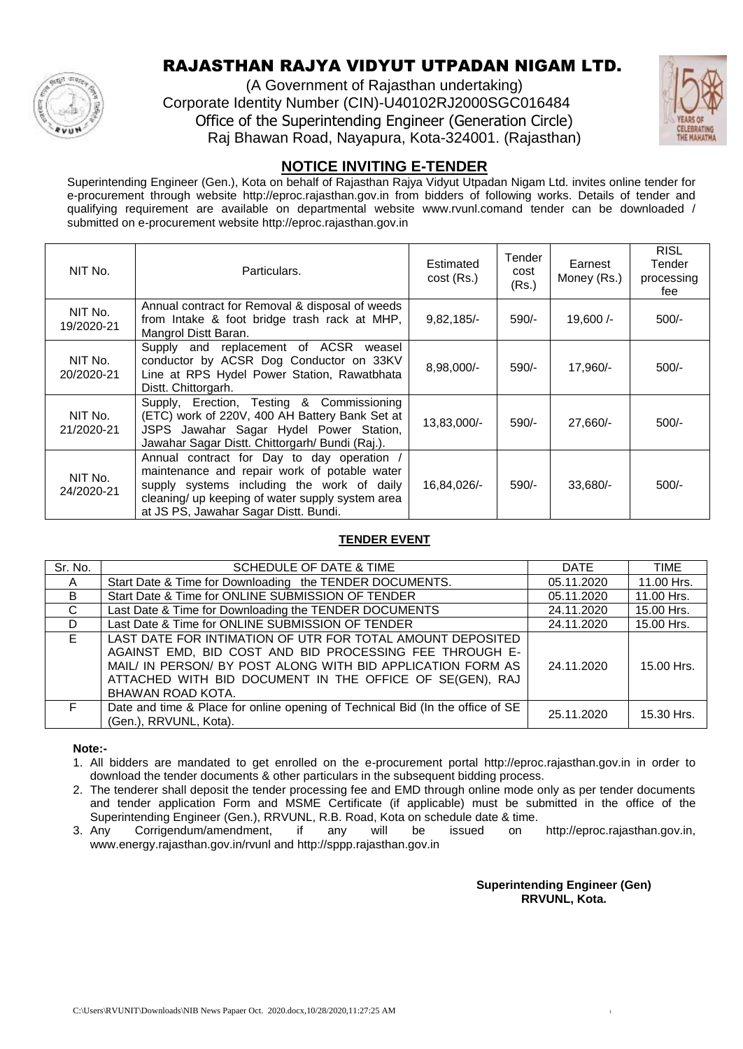

# RAJASTHAN RAJYA VIDYUT UTPADAN NIGAM LTD.

(A Government of Rajasthan undertaking) Corporate Identity Number (CIN)-U40102RJ2000SGC016484 Office of the Superintending Engineer (Generation Circle) Raj Bhawan Road, Nayapura, Kota-324001. (Rajasthan)



## **NOTICE INVITING E-TENDER**

Superintending Engineer (Gen.), Kota on behalf of Rajasthan Rajya Vidyut Utpadan Nigam Ltd. invites online tender for e-procurement through website http://eproc.rajasthan.gov.in from bidders of following works. Details of tender and qualifying requirement are available on departmental website www.rvunl.comand tender can be downloaded / submitted on e-procurement website http://eproc.rajasthan.gov.in

| NIT No.               | Particulars.                                                                                                                                                                                                                          | Estimated<br>cost (Rs.) | Tender<br>cost<br>(Rs.) | Earnest<br>Money (Rs.) | <b>RISL</b><br>Tender<br>processing<br>fee |
|-----------------------|---------------------------------------------------------------------------------------------------------------------------------------------------------------------------------------------------------------------------------------|-------------------------|-------------------------|------------------------|--------------------------------------------|
| NIT No.<br>19/2020-21 | Annual contract for Removal & disposal of weeds<br>from Intake & foot bridge trash rack at MHP,<br>Mangrol Distt Baran.                                                                                                               | 9,82,185/               | $590/-$                 | $19,600/-$             | $500/-$                                    |
| NIT No.<br>20/2020-21 | Supply and replacement of ACSR<br>weasel<br>conductor by ACSR Dog Conductor on 33KV<br>Line at RPS Hydel Power Station, Rawatbhata<br>Distt. Chittorgarh.                                                                             | 8,98,000/-              | $590/-$                 | 17,960/-               | $500/-$                                    |
| NIT No.<br>21/2020-21 | Supply, Erection, Testing & Commissioning<br>(ETC) work of 220V, 400 AH Battery Bank Set at<br>JSPS Jawahar Sagar Hydel Power Station,<br>Jawahar Sagar Distt. Chittorgarh/ Bundi (Raj.).                                             | 13,83,000/-             | $590/-$                 | $27,660/-$             | $500/-$                                    |
| NIT No.<br>24/2020-21 | Annual contract for Day to day operation /<br>maintenance and repair work of potable water<br>supply systems including the work of daily<br>cleaning/ up keeping of water supply system area<br>at JS PS, Jawahar Sagar Distt. Bundi. | 16,84,026/-             | $590/-$                 | $33.680/-$             | $500/-$                                    |

### **TENDER EVENT**

| Sr. No. | SCHEDULE OF DATE & TIME                                                        | <b>DATE</b> | <b>TIME</b> |
|---------|--------------------------------------------------------------------------------|-------------|-------------|
| A       | Start Date & Time for Downloading the TENDER DOCUMENTS.                        | 05.11.2020  | 11.00 Hrs.  |
| B.      | Start Date & Time for ONLINE SUBMISSION OF TENDER                              | 05.11.2020  | 11.00 Hrs.  |
| C.      | Last Date & Time for Downloading the TENDER DOCUMENTS                          | 24.11.2020  | 15.00 Hrs.  |
| D       | Last Date & Time for ONLINE SUBMISSION OF TENDER                               | 24.11.2020  | 15.00 Hrs.  |
| E.      | LAST DATE FOR INTIMATION OF UTR FOR TOTAL AMOUNT DEPOSITED                     |             |             |
|         | AGAINST EMD, BID COST AND BID PROCESSING FEE THROUGH E-                        |             |             |
|         | MAIL/ IN PERSON/ BY POST ALONG WITH BID APPLICATION FORM AS                    | 24.11.2020  | 15.00 Hrs.  |
|         | ATTACHED WITH BID DOCUMENT IN THE OFFICE OF SE(GEN), RAJ                       |             |             |
|         | BHAWAN ROAD KOTA.                                                              |             |             |
| F.      | Date and time & Place for online opening of Technical Bid (In the office of SE | 25.11.2020  | 15.30 Hrs.  |
|         | (Gen.), RRVUNL, Kota).                                                         |             |             |

**Note:-**

1. All bidders are mandated to get enrolled on the e-procurement portal http://eproc.rajasthan.gov.in in order to download the tender documents & other particulars in the subsequent bidding process.

- 2. The tenderer shall deposit the tender processing fee and EMD through online mode only as per tender documents and tender application Form and MSME Certificate (if applicable) must be submitted in the office of the Superintending Engineer (Gen.), RRVUNL, R.B. Road, Kota on schedule date & time.
- 3. Any Corrigendum/amendment, if any will be issued on http://eproc.rajasthan.gov.in, www.energy.rajasthan.gov.in/rvunl and http://sppp.rajasthan.gov.in

**Superintending Engineer (Gen) RRVUNL, Kota.**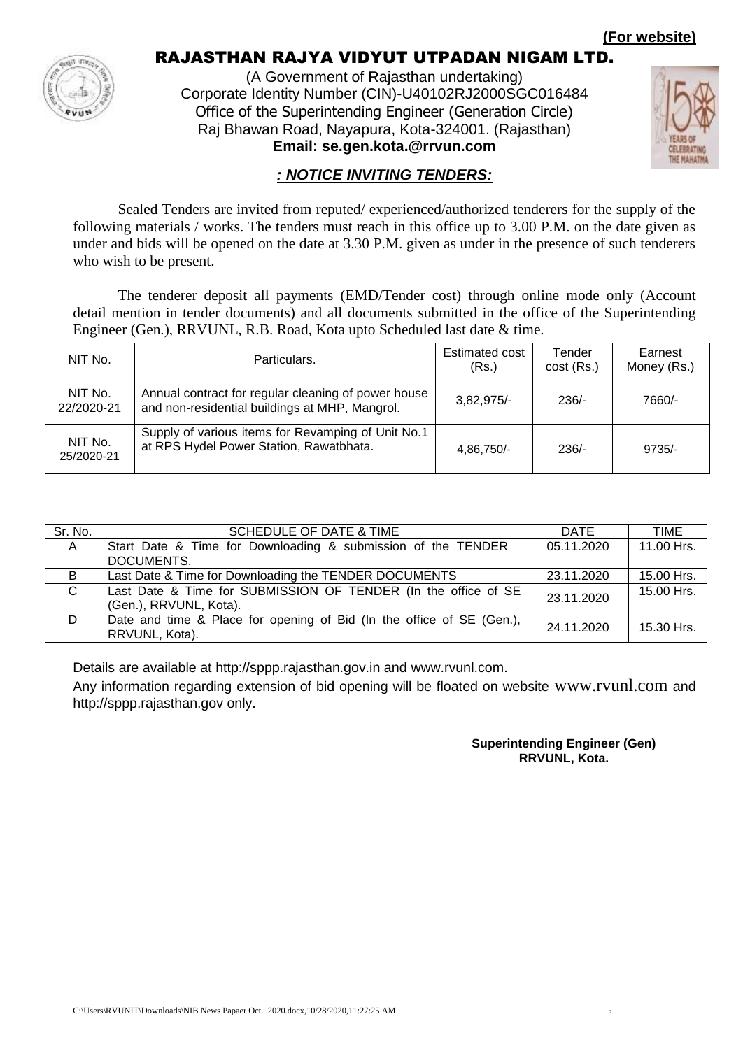**(For website)**



# RAJASTHAN RAJYA VIDYUT UTPADAN NIGAM LTD.

(A Government of Rajasthan undertaking) Corporate Identity Number (CIN)-U40102RJ2000SGC016484 Office of the Superintending Engineer (Generation Circle) Raj Bhawan Road, Nayapura, Kota-324001. (Rajasthan) **Email: se.gen.kota.@rrvun.com**



### *: NOTICE INVITING TENDERS:*

Sealed Tenders are invited from reputed/ experienced/authorized tenderers for the supply of the following materials / works. The tenders must reach in this office up to 3.00 P.M. on the date given as under and bids will be opened on the date at 3.30 P.M. given as under in the presence of such tenderers who wish to be present.

The tenderer deposit all payments (EMD/Tender cost) through online mode only (Account detail mention in tender documents) and all documents submitted in the office of the Superintending Engineer (Gen.), RRVUNL, R.B. Road, Kota upto Scheduled last date & time.

| NIT No.               | Particulars.                                                                                          | Estimated cost<br>(Rs.) | Tender<br>$cost$ (Rs.) | Earnest<br>Money (Rs.) |
|-----------------------|-------------------------------------------------------------------------------------------------------|-------------------------|------------------------|------------------------|
| NIT No.<br>22/2020-21 | Annual contract for regular cleaning of power house<br>and non-residential buildings at MHP, Mangrol. | $3,82,975/-$            | $236/-$                | 7660/-                 |
| NIT No.<br>25/2020-21 | Supply of various items for Revamping of Unit No.1<br>at RPS Hydel Power Station, Rawatbhata.         | 4.86.750/-              | $236/$ -               | $9735/-$               |

| Sr. No.      | SCHEDULE OF DATE & TIME                                                                  | DATE       | TIME       |
|--------------|------------------------------------------------------------------------------------------|------------|------------|
| $\mathsf{A}$ | Start Date & Time for Downloading & submission of the TENDER                             | 05.11.2020 | 11.00 Hrs. |
|              | DOCUMENTS.                                                                               |            |            |
| B            | Last Date & Time for Downloading the TENDER DOCUMENTS                                    | 23.11.2020 | 15.00 Hrs. |
| C            | Last Date & Time for SUBMISSION OF TENDER (In the office of SE<br>(Gen.), RRVUNL, Kota). | 23.11.2020 | 15.00 Hrs. |
| D            | Date and time & Place for opening of Bid (In the office of SE (Gen.),<br>RRVUNL, Kota).  | 24.11.2020 | 15.30 Hrs. |

Details are available at http://sppp.rajasthan.gov.in and www.rvunl.com.

Any information regarding extension of bid opening will be floated on website www.rvunl.com and http://sppp.rajasthan.gov only.

### **Superintending Engineer (Gen) RRVUNL, Kota.**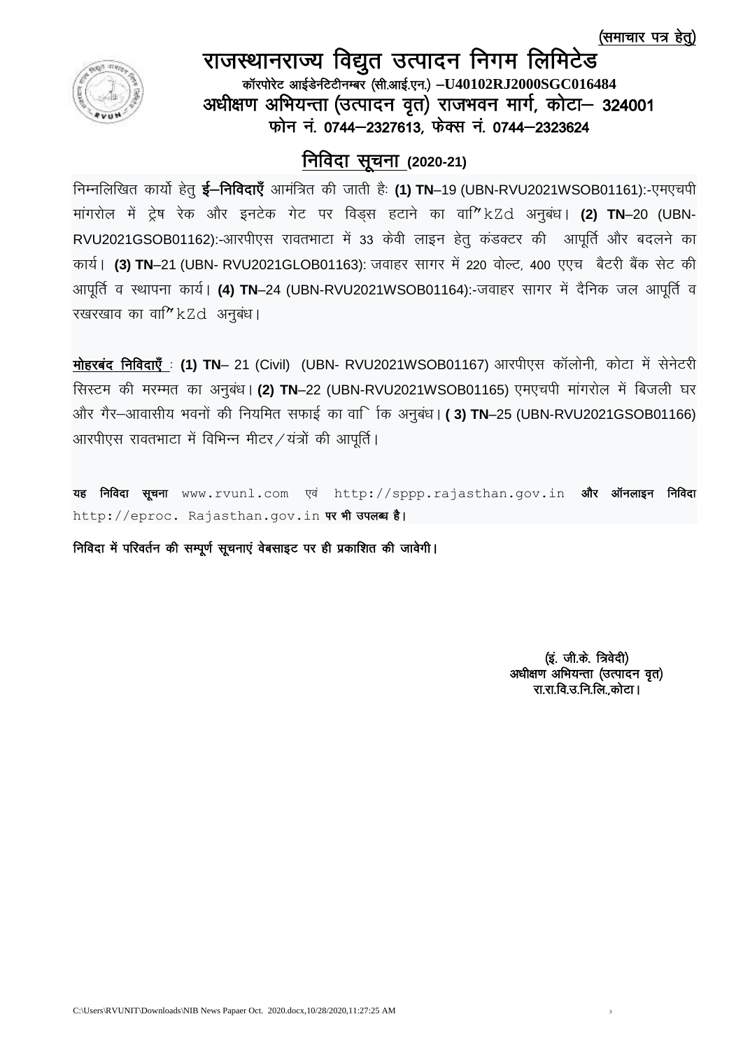(समाचार पत्र हेत्)



# राजस्थानराज्य विद्युत उत्पादन निगम लिमिटेड कॉरपोरेट आईडेनटेटीनम्बर (सी.आई.एन.) -U40102RJ2000SGC016484 अधीक्षण अभियन्ता (उत्पादन वृत) राजभवन मार्ग, कोटा- 324001 फोन नं. 0744–2327613, फेक्स नं. 0744–2323624

# <u>निविदा सूचना (2020-21)</u>

fिम्नलिखित कार्यो हेतू **ई–निविदाएँ** आमंत्रित की जाती हैः (1) TN–19 (UBN-RVU2021WSOB01161):-एमएचपी मांगरोल में ट्रेष रेक और इनटेक गेट पर विडस हटाने का वा<sup>7</sup> kZd अनुबंध। (2) TN–20 (UBN-RVU2021GSOB01162):-आरपीएस रावतभाटा में 33 केवी लाइन हेतू कंडक्टर की आपूर्ति और बदलने का कार्य। (3) TN–21 (UBN- RVU2021GLOB01163): जवाहर सागर में 220 वोल्ट, 400 एएच बैटरी बैंक सेट की आपूर्ति व स्थापना कार्य। (4) TN–24 (UBN-RVU2021WSOB01164):-जवाहर सागर में दैनिक जल आपूर्ति व रखरखाव का वा<sup>2</sup> kZd अनुबंध।

**मोहरबंद निविदाएँ : (1) TN– 21 (Civil) (UBN- RVU2021WSOB01167) आरपीएस कॉलोनी, कोटा में सेनेटरी** सिस्टम की मरम्मत का अनुबंध। (2) TN–22 (UBN-RVU2021WSOB01165) एमएचपी मांगरोल में बिजली घर और गैर–आवासीय भवनों की नियमित सफाई का वार्िाक अनुबंध। **(3) TN**–25 (UBN-RVU2021GSOB01166) आरपीएस रावतभाटा में विभिन्न मीटर / यंत्रों की आपूर्ति |

यह निविदा सूचना www.rvunl.com एवं http://sppp.rajasthan.gov.in और ऑनलाइन निविदा http://eproc. Rajasthan.gov.in पर भी उपलब्ध है।

निविदा में परिवर्तन की सम्पूर्ण सूचनाएं वेबसाइट पर ही प्रकाशित की जावेगी।

(इं. जी.के. त्रिवेदी) अधीक्षण अभियन्ता (उत्पादन वृत) रा.रा.वि.उ.नि.लि..कोटा।